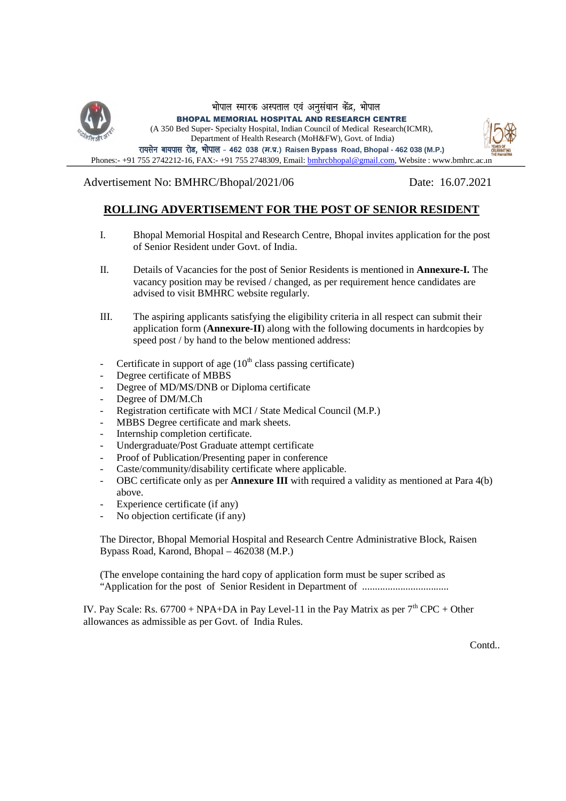

Advertisement No: BMHRC/Bhopal/2021/06 Date: 16.07.2021

## **ROLLING ADVERTISEMENT FOR THE POST OF SENIOR RESIDENT**

- I. Bhopal Memorial Hospital and Research Centre, Bhopal invites application for the post of Senior Resident under Govt. of India.
- II. Details of Vacancies for the post of Senior Residents is mentioned in **Annexure-I.** The vacancy position may be revised / changed, as per requirement hence candidates are advised to visit BMHRC website regularly.
- III. The aspiring applicants satisfying the eligibility criteria in all respect can submit their application form (**Annexure-II**) along with the following documents in hardcopies by speed post / by hand to the below mentioned address:
- Certificate in support of age  $(10<sup>th</sup>$  class passing certificate)
- Degree certificate of MBBS
- Degree of MD/MS/DNB or Diploma certificate
- Degree of DM/M.Ch
- Registration certificate with MCI / State Medical Council (M.P.)
- MBBS Degree certificate and mark sheets.
- Internship completion certificate.
- Undergraduate/Post Graduate attempt certificate
- Proof of Publication/Presenting paper in conference
- Caste/community/disability certificate where applicable.
- OBC certificate only as per **Annexure III** with required a validity as mentioned at Para 4(b) above.
- Experience certificate (if any)
- No objection certificate (if any)

The Director, Bhopal Memorial Hospital and Research Centre Administrative Block, Raisen Bypass Road, Karond, Bhopal – 462038 (M.P.)

(The envelope containing the hard copy of application form must be super scribed as "Application for the post of Senior Resident in Department of ..................................

IV. Pay Scale: Rs. 67700 + NPA+DA in Pay Level-11 in the Pay Matrix as per  $7<sup>th</sup>$  CPC + Other allowances as admissible as per Govt. of India Rules.

Contd..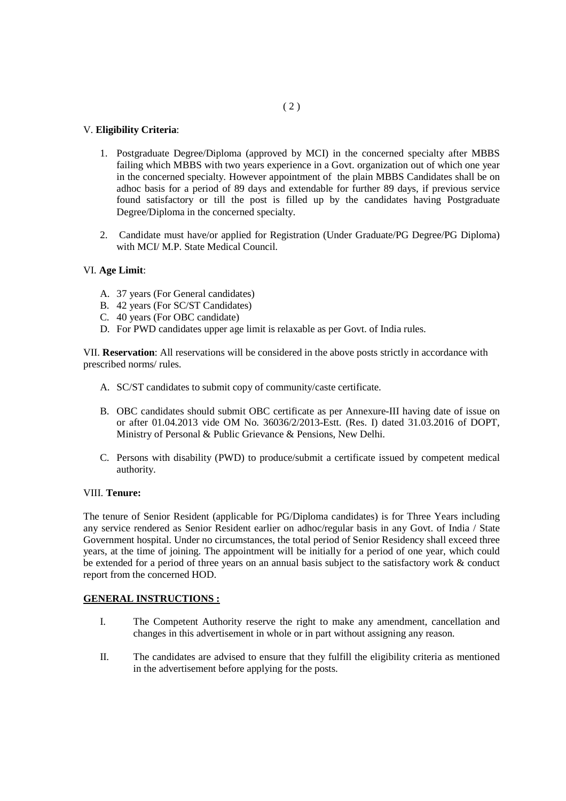#### V. **Eligibility Criteria**:

- 1. Postgraduate Degree/Diploma (approved by MCI) in the concerned specialty after MBBS failing which MBBS with two years experience in a Govt. organization out of which one year in the concerned specialty. However appointment of the plain MBBS Candidates shall be on adhoc basis for a period of 89 days and extendable for further 89 days, if previous service found satisfactory or till the post is filled up by the candidates having Postgraduate Degree/Diploma in the concerned specialty.
- 2. Candidate must have/or applied for Registration (Under Graduate/PG Degree/PG Diploma) with MCI/ M.P. State Medical Council

#### VI. **Age Limit**:

- A. 37 years (For General candidates)
- B. 42 years (For SC/ST Candidates)
- C. 40 years (For OBC candidate)
- D. For PWD candidates upper age limit is relaxable as per Govt. of India rules.

VII. **Reservation**: All reservations will be considered in the above posts strictly in accordance with prescribed norms/ rules.

- A. SC/ST candidates to submit copy of community/caste certificate.
- B. OBC candidates should submit OBC certificate as per Annexure-III having date of issue on or after 01.04.2013 vide OM No. 36036/2/2013-Estt. (Res. I) dated 31.03.2016 of DOPT, Ministry of Personal & Public Grievance & Pensions, New Delhi.
- C. Persons with disability (PWD) to produce/submit a certificate issued by competent medical authority.

#### VIII. **Tenure:**

The tenure of Senior Resident (applicable for PG/Diploma candidates) is for Three Years including any service rendered as Senior Resident earlier on adhoc/regular basis in any Govt. of India / State Government hospital. Under no circumstances, the total period of Senior Residency shall exceed three years, at the time of joining. The appointment will be initially for a period of one year, which could be extended for a period of three years on an annual basis subject to the satisfactory work & conduct report from the concerned HOD.

#### **GENERAL INSTRUCTIONS :**

- I. The Competent Authority reserve the right to make any amendment, cancellation and changes in this advertisement in whole or in part without assigning any reason.
- II. The candidates are advised to ensure that they fulfill the eligibility criteria as mentioned in the advertisement before applying for the posts.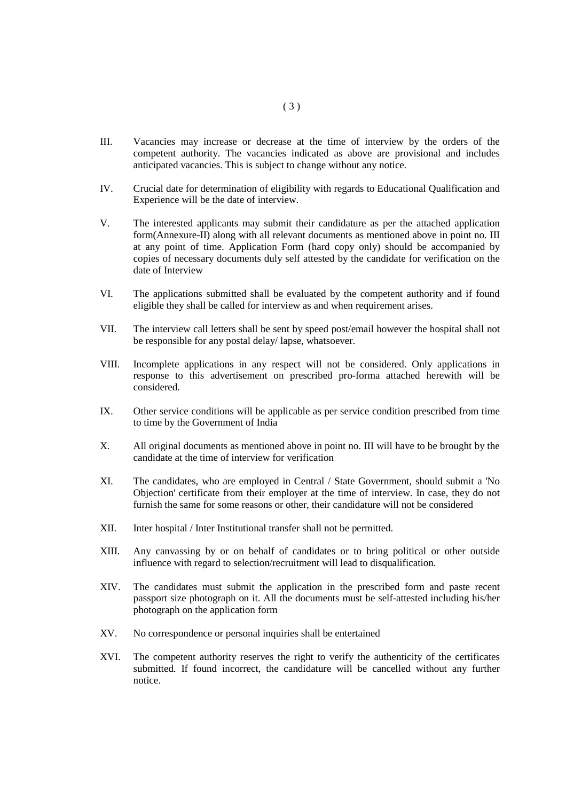- III. Vacancies may increase or decrease at the time of interview by the orders of the competent authority. The vacancies indicated as above are provisional and includes anticipated vacancies. This is subject to change without any notice.
- IV. Crucial date for determination of eligibility with regards to Educational Qualification and Experience will be the date of interview.
- V. The interested applicants may submit their candidature as per the attached application form(Annexure-II) along with all relevant documents as mentioned above in point no. III at any point of time. Application Form (hard copy only) should be accompanied by copies of necessary documents duly self attested by the candidate for verification on the date of Interview
- VI. The applications submitted shall be evaluated by the competent authority and if found eligible they shall be called for interview as and when requirement arises.
- VII. The interview call letters shall be sent by speed post/email however the hospital shall not be responsible for any postal delay/ lapse, whatsoever.
- VIII. Incomplete applications in any respect will not be considered. Only applications in response to this advertisement on prescribed pro-forma attached herewith will be considered.
- IX. Other service conditions will be applicable as per service condition prescribed from time to time by the Government of India
- X. All original documents as mentioned above in point no. III will have to be brought by the candidate at the time of interview for verification
- XI. The candidates, who are employed in Central / State Government, should submit a 'No Objection' certificate from their employer at the time of interview. In case, they do not furnish the same for some reasons or other, their candidature will not be considered
- XII. Inter hospital / Inter Institutional transfer shall not be permitted.
- XIII. Any canvassing by or on behalf of candidates or to bring political or other outside influence with regard to selection/recruitment will lead to disqualification.
- XIV. The candidates must submit the application in the prescribed form and paste recent passport size photograph on it. All the documents must be self-attested including his/her photograph on the application form
- XV. No correspondence or personal inquiries shall be entertained
- XVI. The competent authority reserves the right to verify the authenticity of the certificates submitted. If found incorrect, the candidature will be cancelled without any further notice.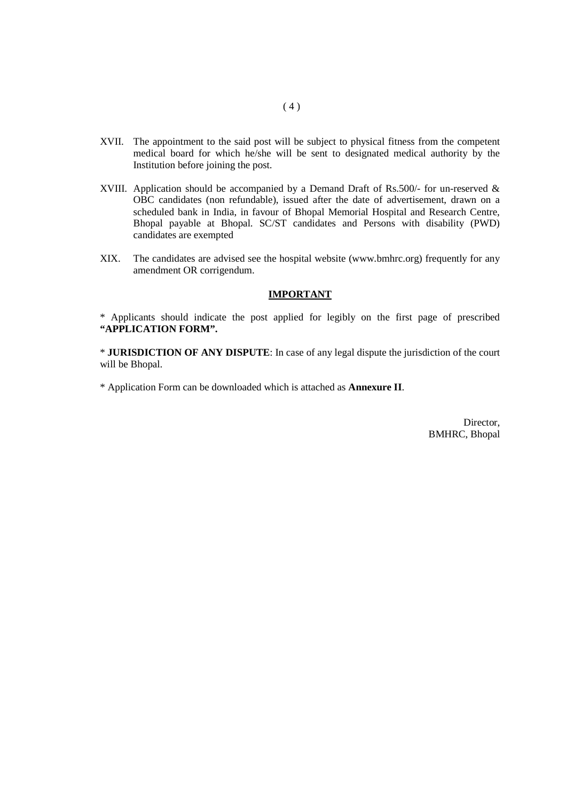- XVII. The appointment to the said post will be subject to physical fitness from the competent medical board for which he/she will be sent to designated medical authority by the Institution before joining the post.
- XVIII. Application should be accompanied by a Demand Draft of Rs.500/- for un-reserved & OBC candidates (non refundable), issued after the date of advertisement, drawn on a scheduled bank in India, in favour of Bhopal Memorial Hospital and Research Centre, Bhopal payable at Bhopal. SC/ST candidates and Persons with disability (PWD) candidates are exempted
- XIX. The candidates are advised see the hospital website (www.bmhrc.org) frequently for any amendment OR corrigendum.

#### **IMPORTANT**

\* Applicants should indicate the post applied for legibly on the first page of prescribed **"APPLICATION FORM".**

\* **JURISDICTION OF ANY DISPUTE**: In case of any legal dispute the jurisdiction of the court will be Bhopal.

\* Application Form can be downloaded which is attached as **Annexure II**.

Director, BMHRC, Bhopal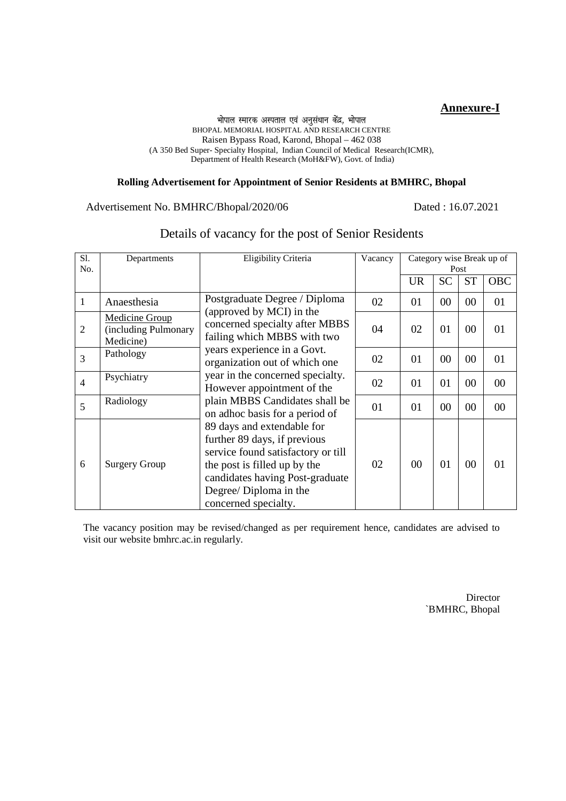### **Annexure-I**

#### भोपाल स्मारक अस्पताल एवं अनुसंधान केंद्र, भोपाल BHOPAL MEMORIAL HOSPITAL AND RESEARCH CENTRE Raisen Bypass Road, Karond, Bhopal – 462 038 (A 350 Bed Super- Specialty Hospital, Indian Council of Medical Research(ICMR), Department of Health Research (MoH&FW), Govt. of India)

#### **Rolling Advertisement for Appointment of Senior Residents at BMHRC, Bhopal**

#### Advertisement No. BMHRC/Bhopal/2020/06 Dated : 16.07.2021

| Sl.<br>No.     | Departments                                                | Eligibility Criteria                                                                                                                                                                                                  | Vacancy |           |                | Post      | Category wise Break up of |
|----------------|------------------------------------------------------------|-----------------------------------------------------------------------------------------------------------------------------------------------------------------------------------------------------------------------|---------|-----------|----------------|-----------|---------------------------|
|                |                                                            |                                                                                                                                                                                                                       |         | <b>UR</b> | <b>SC</b>      | <b>ST</b> | <b>OBC</b>                |
| 1              | Anaesthesia                                                | Postgraduate Degree / Diploma                                                                                                                                                                                         | 02      | 01        | 00             | 00        | 01                        |
| $\mathfrak{2}$ | <b>Medicine Group</b><br>(including Pulmonary<br>Medicine) | (approved by MCI) in the<br>concerned specialty after MBBS<br>failing which MBBS with two                                                                                                                             | 04      | 02        | 01             | 00        | 01                        |
| $\overline{3}$ | Pathology                                                  | years experience in a Govt.<br>organization out of which one                                                                                                                                                          | 02      | 01        | 00             | 00        | 01                        |
| $\overline{4}$ | Psychiatry                                                 | year in the concerned specialty.<br>However appointment of the                                                                                                                                                        | 02      | 01        | 01             | 00        | $00\,$                    |
| 5              | Radiology                                                  | plain MBBS Candidates shall be<br>on adhoc basis for a period of                                                                                                                                                      | 01      | 01        | 0 <sub>0</sub> | 00        | 00                        |
| 6              | <b>Surgery Group</b>                                       | 89 days and extendable for<br>further 89 days, if previous<br>service found satisfactory or till<br>the post is filled up by the<br>candidates having Post-graduate<br>Degree/ Diploma in the<br>concerned specialty. | 02      | 00        | 01             | 00        | 01                        |

# Details of vacancy for the post of Senior Residents

The vacancy position may be revised/changed as per requirement hence, candidates are advised to visit our website bmhrc.ac.in regularly.

> **Director** `BMHRC, Bhopal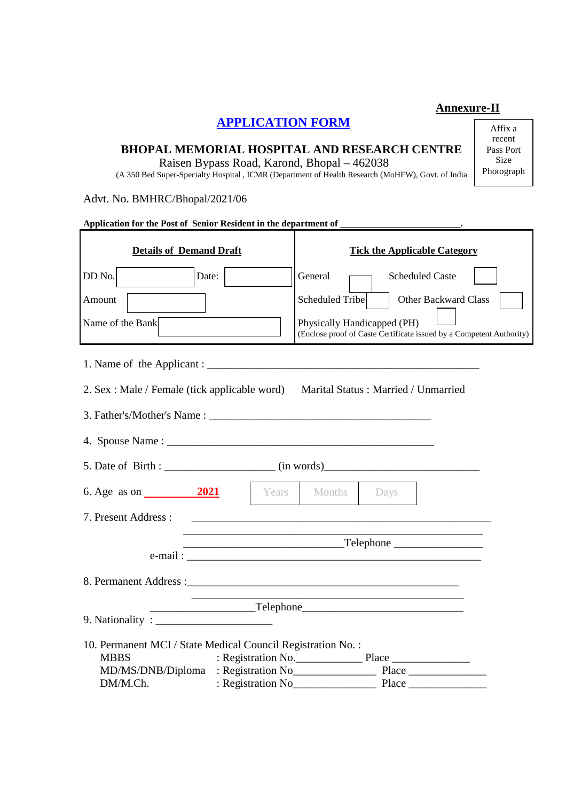# **APPLICATION FORM**

# **BHOPAL MEMORIAL HOSPITAL AND RESEARCH CENTRE**

Raisen Bypass Road, Karond, Bhopal – 462038

(A 350 Bed Super-Specialty Hospital , ICMR (Department of Health Research (MoHFW), Govt. of India

Advt. No. BMHRC/Bhopal/2021/06

| Application for the Post of Senior Resident in the department of |                                                                                                                      |
|------------------------------------------------------------------|----------------------------------------------------------------------------------------------------------------------|
| <b>Details of Demand Draft</b>                                   | <b>Tick the Applicable Category</b>                                                                                  |
| DD No.<br>Date:                                                  | General<br><b>Scheduled Caste</b>                                                                                    |
| Amount                                                           | Scheduled Tribe<br>Other Backward Class                                                                              |
| Name of the Bank                                                 | Physically Handicapped (PH)<br>(Enclose proof of Caste Certificate issued by a Competent Authority)                  |
|                                                                  |                                                                                                                      |
| 2. Sex : Male / Female (tick applicable word)                    | Marital Status: Married / Unmarried                                                                                  |
| 3. Father's/Mother's Name:                                       |                                                                                                                      |
|                                                                  |                                                                                                                      |
|                                                                  |                                                                                                                      |
| 6. Age as on $\frac{2021}{202}$                                  | Years Months Days                                                                                                    |
| 7. Present Address:                                              |                                                                                                                      |
|                                                                  |                                                                                                                      |
|                                                                  |                                                                                                                      |
|                                                                  |                                                                                                                      |
|                                                                  | <u> 1989 - Johann Stein, marwolaethau a bhann an t-Amhair an t-Amhair an t-Amhair an t-Amhair an t-Amhair an t-A</u> |
|                                                                  |                                                                                                                      |
| 10. Permanent MCI / State Medical Council Registration No.:      |                                                                                                                      |
| <b>MBBS</b>                                                      | : Registration No. Place                                                                                             |
| DM/M.Ch.                                                         |                                                                                                                      |

Affix a recent Pass Port Size Photograph

**Annexure-II**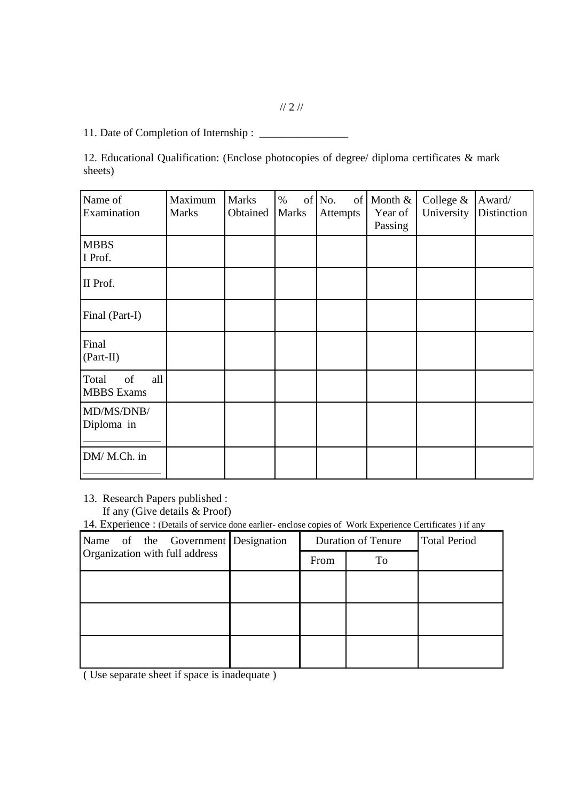11. Date of Completion of Internship : \_\_\_\_\_\_\_\_\_\_\_\_\_\_\_\_

12. Educational Qualification: (Enclose photocopies of degree/ diploma certificates & mark sheets)

| Name of<br>Examination                  | Maximum<br><b>Marks</b> | <b>Marks</b><br>Obtained | $\%$<br><b>Marks</b> | of No.<br>of<br>Attempts | Month $\&$<br>Year of<br>Passing | College &<br>University | Award/<br>Distinction |
|-----------------------------------------|-------------------------|--------------------------|----------------------|--------------------------|----------------------------------|-------------------------|-----------------------|
| <b>MBBS</b><br>I Prof.                  |                         |                          |                      |                          |                                  |                         |                       |
| II Prof.                                |                         |                          |                      |                          |                                  |                         |                       |
| Final (Part-I)                          |                         |                          |                      |                          |                                  |                         |                       |
| Final<br>$(Part-II)$                    |                         |                          |                      |                          |                                  |                         |                       |
| all<br>of<br>Total<br><b>MBBS</b> Exams |                         |                          |                      |                          |                                  |                         |                       |
| MD/MS/DNB/<br>Diploma in                |                         |                          |                      |                          |                                  |                         |                       |
| DM/ M.Ch. in                            |                         |                          |                      |                          |                                  |                         |                       |

13. Research Papers published :

If any (Give details & Proof)

14. Experience : (Details of service done earlier- enclose copies of Work Experience Certificates ) if any

| Name of the Government Designation | <b>Duration of Tenure</b> |    | Total Period |
|------------------------------------|---------------------------|----|--------------|
| Organization with full address     | From                      | To |              |
|                                    |                           |    |              |
|                                    |                           |    |              |
|                                    |                           |    |              |
|                                    |                           |    |              |
|                                    |                           |    |              |
|                                    |                           |    |              |

( Use separate sheet if space is inadequate )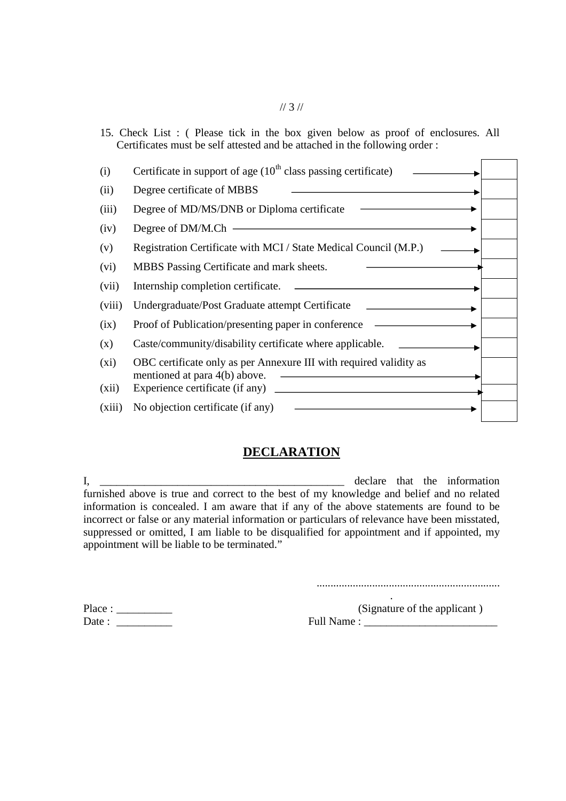## 15. Check List : ( Please tick in the box given below as proof of enclosures. All Certificates must be self attested and be attached in the following order :

| (i)     | Certificate in support of age $(10th$ class passing certificate)                                    |
|---------|-----------------------------------------------------------------------------------------------------|
| (ii)    | Degree certificate of MBBS                                                                          |
| (iii)   | Degree of MD/MS/DNB or Diploma certificate                                                          |
| (iv)    | Degree of DM/M.Ch                                                                                   |
| (v)     | Registration Certificate with MCI / State Medical Council (M.P.)                                    |
| (vi)    | MBBS Passing Certificate and mark sheets.                                                           |
| (vii)   | Internship completion certificate.                                                                  |
| (viii)  | Undergraduate/Post Graduate attempt Certificate                                                     |
| (ix)    | Proof of Publication/presenting paper in conference                                                 |
| (x)     | Caste/community/disability certificate where applicable.                                            |
| $(x_i)$ | OBC certificate only as per Annexure III with required validity as<br>mentioned at para 4(b) above. |
| (xii)   | Experience certificate (if any)                                                                     |
| (xiii)  | No objection certificate (if any)                                                                   |

# **DECLARATION**

I, \_\_\_\_\_\_\_\_\_\_\_\_\_\_\_\_\_\_\_\_\_\_\_\_\_\_\_\_\_\_\_\_\_\_\_\_\_\_\_\_\_\_\_\_ declare that the information furnished above is true and correct to the best of my knowledge and belief and no related information is concealed. I am aware that if any of the above statements are found to be incorrect or false or any material information or particulars of relevance have been misstated, suppressed or omitted, I am liable to be disqualified for appointment and if appointed, my appointment will be liable to be terminated."

..................................................................

| Place: |  |
|--------|--|
| Date : |  |

 $(Signature of the application)$ Date : \_\_\_\_\_\_\_\_\_\_ Full Name : \_\_\_\_\_\_\_\_\_\_\_\_\_\_\_\_\_\_\_\_\_\_\_\_

.